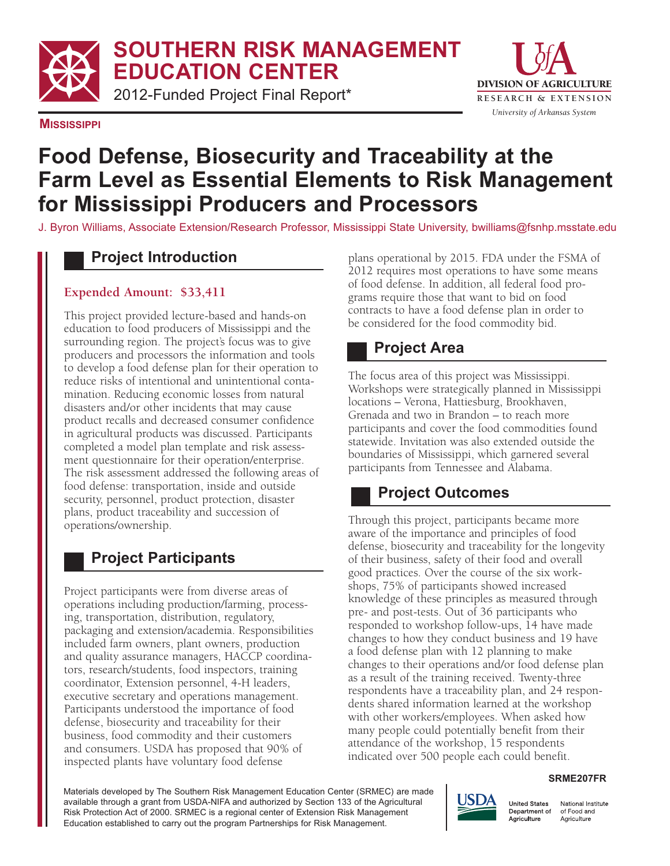**SO SOUTHERN RISK MANAGEMENT**

**ED EDUCATION CENTER**

2012 2012Funded Project Final Report\* 



**MISSISSIPPI**

# **Food Defense, Biosecurity and Traceability at the Farm Level as Essential Elements to Risk Management for Mississippi Producers and Processors**

J. Byron Williams, Associate Extension/Research Professor, Mississippi State University, bwilliams@fsnhp.msstate.edu

#### **Project Introduction**

#### **Expended Amount: \$33,411**

This project provided lecture-based and hands-on education to food producers of Mississippi and the surrounding region. The project's focus was to give producers and processors the information and tools to develop a food defense plan for their operation to reduce risks of intentional and unintentional conta- mination. Reducing economic losses from natural disasters and/or other incidents that may cause product recalls and decreased consumer confidence in agricultural products was discussed. Participants completed a model plan template and risk assess- ment questionnaire for their operation/enterprise. The risk assessment addressed the following areas of food defense: transportation, inside and outside security, personnel, product protection, disaster plans, product traceability and succession of operations/ownership.

## **Project Participants**

 Project participants were from diverse areas of operations including production/farming, process- packaging and extension/academia. Responsibilities included farm owners, plant owners, production and quality assurance managers, HACCP coordina- tors, research/students, food inspectors, training coordinator, Extension personnel, 4-H leaders, executive secretary and operations management. Participants understood the importance of food defense, biosecurity and traceability for their business, food commodity and their customers and consumers. USDA has proposed that 90% of inspected plants have voluntary food defense ing, transportation, distribution, regulatory,

 plans operational by 2015. FDA under the FSMA of 2012 requires most operations to have some means of food defense. In addition, all federal food pro- grams require those that want to bid on food contracts to have a food defense plan in order to be considered for the food commodity bid.

#### **Project Area**

 The focus area of this project was Mississippi. Workshops were strategically planned in Mississippi locations – Verona, Hattiesburg, Brookhaven, Grenada and two in Brandon – to reach more participants and cover the food commodities found statewide. Invitation was also extended outside the boundaries of Mississippi, which garnered several participants from Tennessee and Alabama.

#### **Project Outcomes**

 Through this project, participants became more aware of the importance and principles of food defense, biosecurity and traceability for the longevity of their business, safety of their food and overall good practices. Over the course of the six work- shops, 75% of participants showed increased knowledge of these principles as measured through pre- and post-tests. Out of 36 participants who responded to workshop follow-ups, 14 have made changes to how they conduct business and 19 have a food defense plan with 12 planning to make changes to their operations and/or food defense plan as a result of the training received. Twenty-three respondents have a traceability plan, and 24 respon- dents shared information learned at the workshop with other workers/employees. When asked how many people could potentially benefit from their attendance of the workshop, 15 respondents indicated over 500 people each could benefit.

#### **SRME207FR**

 Materials developed by The Southern Risk Management Education Center (SRMEC) are made available through a grant from USDA-NIFA and authorized by Section 133 of the Agricultural Risk Protection Act of 2000. SRMEC is a regional center of Extension Risk Management Education established to carry out the program Partnerships for Risk Management.



National Institute of Food and Agriculture